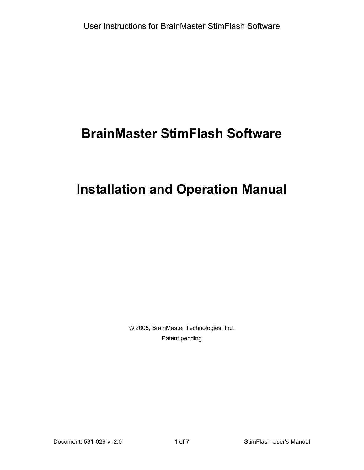# **BrainMaster StimFlash Software**

# **Installation and Operation Manual**

© 2005, BrainMaster Technologies, Inc. Patent pending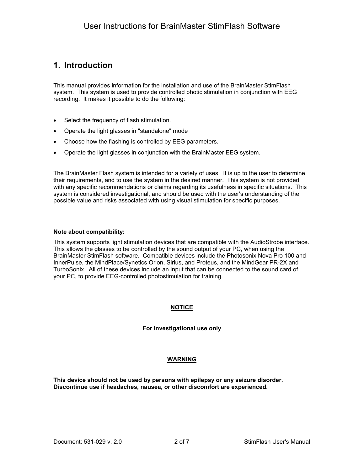## **1. Introduction**

This manual provides information for the installation and use of the BrainMaster StimFlash system. This system is used to provide controlled photic stimulation in conjunction with EEG recording. It makes it possible to do the following:

- Select the frequency of flash stimulation.
- Operate the light glasses in "standalone" mode
- Choose how the flashing is controlled by EEG parameters.
- Operate the light glasses in conjunction with the BrainMaster EEG system.

The BrainMaster Flash system is intended for a variety of uses. It is up to the user to determine their requirements, and to use the system in the desired manner. This system is not provided with any specific recommendations or claims regarding its usefulness in specific situations. This system is considered investigational, and should be used with the user's understanding of the possible value and risks associated with using visual stimulation for specific purposes.

#### **Note about compatibility:**

This system supports light stimulation devices that are compatible with the AudioStrobe interface. This allows the glasses to be controlled by the sound output of your PC, when using the BrainMaster StimFlash software. Compatible devices include the Photosonix Nova Pro 100 and InnerPulse, the MindPlace/Synetics Orion, Sirius, and Proteus, and the MindGear PR-2X and TurboSonix. All of these devices include an input that can be connected to the sound card of your PC, to provide EEG-controlled photostimulation for training.

#### **NOTICE**

#### **For Investigational use only**

#### **WARNING**

**This device should not be used by persons with epilepsy or any seizure disorder. Discontinue use if headaches, nausea, or other discomfort are experienced.**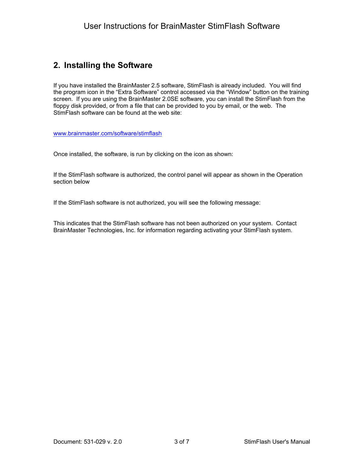## **2. Installing the Software**

If you have installed the BrainMaster 2.5 software, StimFlash is already included. You will find the program icon in the "Extra Software" control accessed via the "Window" button on the training screen. If you are using the BrainMaster 2.0SE software, you can install the StimFlash from the floppy disk provided, or from a file that can be provided to you by email, or the web. The StimFlash software can be found at the web site:

[www.brainmaster.com/software/stimflash](http://www.brainmaster.com/software/stimflash)

Once installed, the software, is run by clicking on the icon as shown:

If the StimFlash software is authorized, the control panel will appear as shown in the Operation section below

If the StimFlash software is not authorized, you will see the following message:

This indicates that the StimFlash software has not been authorized on your system. Contact BrainMaster Technologies, Inc. for information regarding activating your StimFlash system.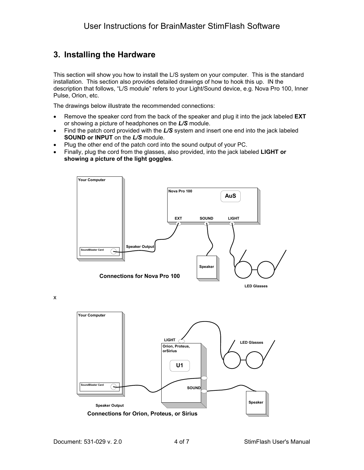# **3. Installing the Hardware**

This section will show you how to install the L/S system on your computer. This is the standard installation. This section also provides detailed drawings of how to hook this up. IN the description that follows, "L/S module" refers to your Light/Sound device, e.g. Nova Pro 100, Inner Pulse, Orion, etc.

The drawings below illustrate the recommended connections:

- Remove the speaker cord from the back of the speaker and plug it into the jack labeled **EXT** or showing a picture of headphones on the *L/S* module.
- Find the patch cord provided with the *L/S* system and insert one end into the jack labeled **SOUND or INPUT** on the *L/S* module.
- Plug the other end of the patch cord into the sound output of your PC.
- Finally, plug the cord from the glasses, also provided, into the jack labeled **LIGHT or showing a picture of the light goggles**.



**Connections for Orion, Proteus, or Sirius**

**Speaker Output**

x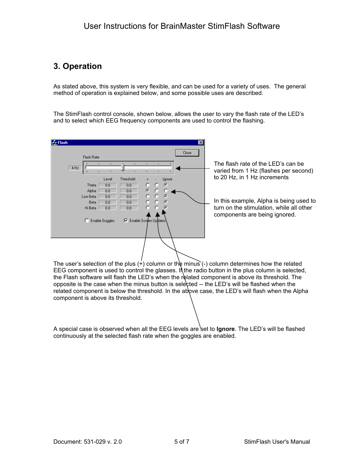# **3. Operation**

As stated above, this system is very flexible, and can be used for a variety of uses. The general method of operation is explained below, and some possible uses are described.

The StimFlash control console, shown below, allows the user to vary the flash rate of the LED's and to select which EEG frequency components are used to control the flashing.

| <b>A</b> Flash |             |                |                       |          |          |          | $\times$ |                                                                             |
|----------------|-------------|----------------|-----------------------|----------|----------|----------|----------|-----------------------------------------------------------------------------|
|                | Flash Rate  |                |                       |          |          |          | Close    |                                                                             |
| 4 Hz           |             |                |                       |          |          |          |          | The flash rate of the LED's can be<br>varied from 1 Hz (flashes per second) |
|                |             | Level          | Threshold             |          |          | Ignore   |          | to 20 Hz, in 1 Hz increments                                                |
|                | Theta       | 0.0            | 0.0                   | O        | O        | ø        |          |                                                                             |
|                | Alpha       | 0.0            | 0.0                   | œ        | о        |          |          |                                                                             |
|                | Low Beta    | 0.0            | 0.0                   | $\Omega$ | $\Omega$ | $\sigma$ |          |                                                                             |
|                | <b>Beta</b> | 0.0            | 0.0                   |          |          | G        |          | In this example, Alpha is being used to                                     |
|                | Hi Beta     | n <sub>n</sub> | n n                   | o        | n        |          |          | turn on the stimulation, while all other<br>components are being ignored.   |
|                |             | Enable Goggles | Enable Screen Updates |          |          |          |          |                                                                             |
|                |             |                |                       |          |          |          |          |                                                                             |

The user's selection of the plus  $(+)$  column or the minus  $(-)$  column determines how the related EEG component is used to control the glasses. If the radio button in the plus column is selected, the Flash software will flash the LED's when the related component is above its threshold. The opposite is the case when the minus button is selected -- the LED's will be flashed when the related component is below the threshold. In the above case, the LED's will flash when the Alpha component is above its threshold.

A special case is observed when all the EEG levels are set to **Ignore**. The LED's will be flashed continuously at the selected flash rate when the goggles are enabled.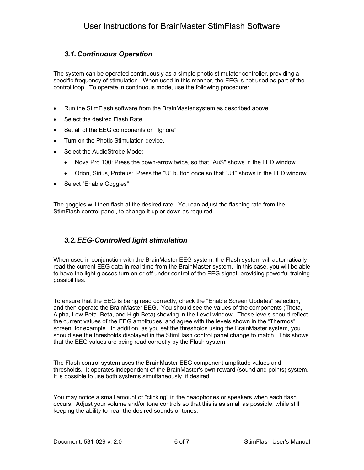### *3.1. Continuous Operation*

The system can be operated continuously as a simple photic stimulator controller, providing a specific frequency of stimulation. When used in this manner, the EEG is not used as part of the control loop. To operate in continuous mode, use the following procedure:

- Run the StimFlash software from the BrainMaster system as described above
- Select the desired Flash Rate
- Set all of the EEG components on "Ignore"
- Turn on the Photic Stimulation device.
- Select the AudioStrobe Mode:
	- Nova Pro 100: Press the down-arrow twice, so that "AuS" shows in the LED window
	- Orion, Sirius, Proteus: Press the "U" button once so that "U1" shows in the LED window
- Select "Enable Goggles"

The goggles will then flash at the desired rate. You can adjust the flashing rate from the StimFlash control panel, to change it up or down as required.

### *3.2. EEG-Controlled light stimulation*

When used in conjunction with the BrainMaster EEG system, the Flash system will automatically read the current EEG data in real time from the BrainMaster system. In this case, you will be able to have the light glasses turn on or off under control of the EEG signal, providing powerful training possibilities.

To ensure that the EEG is being read correctly, check the "Enable Screen Updates" selection, and then operate the BrainMaster EEG. You should see the values of the components (Theta, Alpha, Low Beta, Beta, and High Beta) showing in the Level window. These levels should reflect the current values of the EEG amplitudes, and agree with the levels shown in the "Thermos" screen, for example. In addition, as you set the thresholds using the BrainMaster system, you should see the thresholds displayed in the StimFlash control panel change to match. This shows that the EEG values are being read correctly by the Flash system.

The Flash control system uses the BrainMaster EEG component amplitude values and thresholds. It operates independent of the BrainMaster's own reward (sound and points) system. It is possible to use both systems simultaneously, if desired.

You may notice a small amount of "clicking" in the headphones or speakers when each flash occurs. Adjust your volume and/or tone controls so that this is as small as possible, while still keeping the ability to hear the desired sounds or tones.